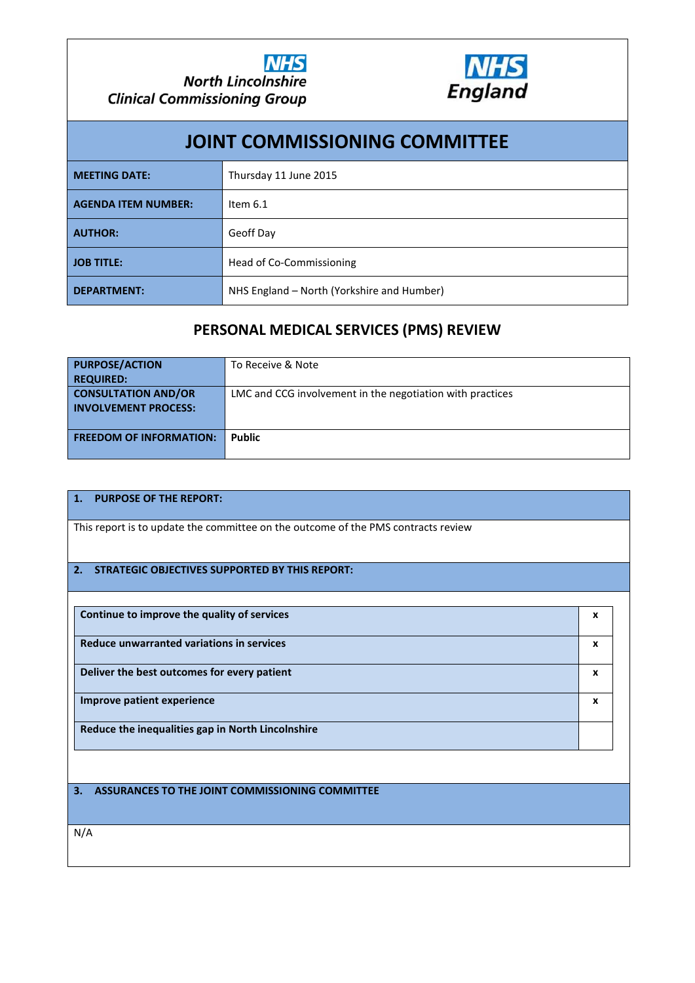



| <b>JOINT COMMISSIONING COMMITTEE</b> |                                            |  |  |  |  |  |
|--------------------------------------|--------------------------------------------|--|--|--|--|--|
| <b>MEETING DATE:</b>                 | Thursday 11 June 2015                      |  |  |  |  |  |
| <b>AGENDA ITEM NUMBER:</b>           | Item $6.1$                                 |  |  |  |  |  |
| <b>AUTHOR:</b>                       | Geoff Day                                  |  |  |  |  |  |
| <b>JOB TITLE:</b>                    | Head of Co-Commissioning                   |  |  |  |  |  |
| <b>DEPARTMENT:</b>                   | NHS England – North (Yorkshire and Humber) |  |  |  |  |  |

## **PERSONAL MEDICAL SERVICES (PMS) REVIEW**

| <b>PURPOSE/ACTION</b><br><b>REQUIRED:</b>                 | To Receive & Note                                         |
|-----------------------------------------------------------|-----------------------------------------------------------|
| <b>CONSULTATION AND/OR</b><br><b>INVOLVEMENT PROCESS:</b> | LMC and CCG involvement in the negotiation with practices |
| <b>FREEDOM OF INFORMATION:</b>                            | <b>Public</b>                                             |

#### **1. PURPOSE OF THE REPORT:**

This report is to update the committee on the outcome of the PMS contracts review

#### **2. STRATEGIC OBJECTIVES SUPPORTED BY THIS REPORT:**

| Continue to improve the quality of services       | x |
|---------------------------------------------------|---|
| Reduce unwarranted variations in services         | х |
| Deliver the best outcomes for every patient       | x |
| Improve patient experience                        | x |
| Reduce the inequalities gap in North Lincolnshire |   |

**3. ASSURANCES TO THE JOINT COMMISSIONING COMMITTEE**

N/A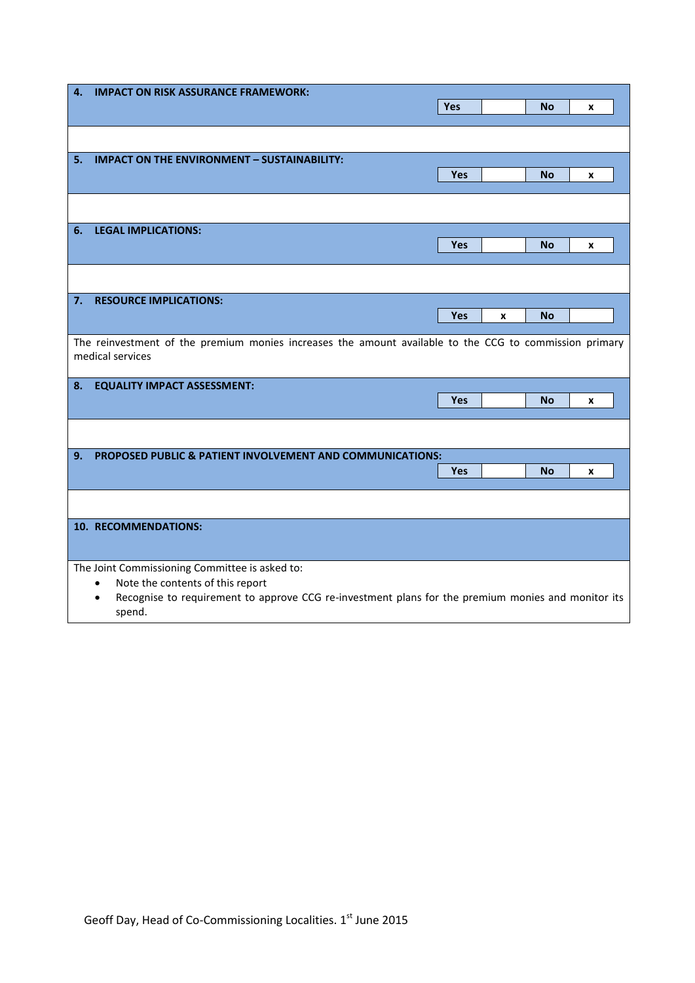| 4.     | <b>IMPACT ON RISK ASSURANCE FRAMEWORK:</b>                                                                      |            |   |           |   |  |  |  |
|--------|-----------------------------------------------------------------------------------------------------------------|------------|---|-----------|---|--|--|--|
|        |                                                                                                                 | Yes        |   | No        | x |  |  |  |
|        |                                                                                                                 |            |   |           |   |  |  |  |
|        |                                                                                                                 |            |   |           |   |  |  |  |
| 5.     | <b>IMPACT ON THE ENVIRONMENT - SUSTAINABILITY:</b>                                                              |            |   |           |   |  |  |  |
|        |                                                                                                                 | <b>Yes</b> |   | <b>No</b> | x |  |  |  |
|        |                                                                                                                 |            |   |           |   |  |  |  |
|        |                                                                                                                 |            |   |           |   |  |  |  |
|        |                                                                                                                 |            |   |           |   |  |  |  |
| 6.     | <b>LEGAL IMPLICATIONS:</b>                                                                                      |            |   |           |   |  |  |  |
|        |                                                                                                                 | Yes        |   | No        | x |  |  |  |
|        |                                                                                                                 |            |   |           |   |  |  |  |
|        |                                                                                                                 |            |   |           |   |  |  |  |
| 7.     | <b>RESOURCE IMPLICATIONS:</b>                                                                                   |            |   |           |   |  |  |  |
|        |                                                                                                                 | Yes        | X | <b>No</b> |   |  |  |  |
|        |                                                                                                                 |            |   |           |   |  |  |  |
|        | The reinvestment of the premium monies increases the amount available to the CCG to commission primary          |            |   |           |   |  |  |  |
|        | medical services                                                                                                |            |   |           |   |  |  |  |
|        |                                                                                                                 |            |   |           |   |  |  |  |
| 8.     | <b>EQUALITY IMPACT ASSESSMENT:</b>                                                                              |            |   |           |   |  |  |  |
|        |                                                                                                                 | Yes        |   | <b>No</b> | X |  |  |  |
|        |                                                                                                                 |            |   |           |   |  |  |  |
|        |                                                                                                                 |            |   |           |   |  |  |  |
| 9.     | PROPOSED PUBLIC & PATIENT INVOLVEMENT AND COMMUNICATIONS:                                                       |            |   |           |   |  |  |  |
|        |                                                                                                                 | <b>Yes</b> |   | <b>No</b> | x |  |  |  |
|        |                                                                                                                 |            |   |           |   |  |  |  |
|        |                                                                                                                 |            |   |           |   |  |  |  |
|        | 10. RECOMMENDATIONS:                                                                                            |            |   |           |   |  |  |  |
|        |                                                                                                                 |            |   |           |   |  |  |  |
|        |                                                                                                                 |            |   |           |   |  |  |  |
|        | The Joint Commissioning Committee is asked to:                                                                  |            |   |           |   |  |  |  |
|        | Note the contents of this report<br>$\bullet$                                                                   |            |   |           |   |  |  |  |
|        | Recognise to requirement to approve CCG re-investment plans for the premium monies and monitor its<br>$\bullet$ |            |   |           |   |  |  |  |
| spend. |                                                                                                                 |            |   |           |   |  |  |  |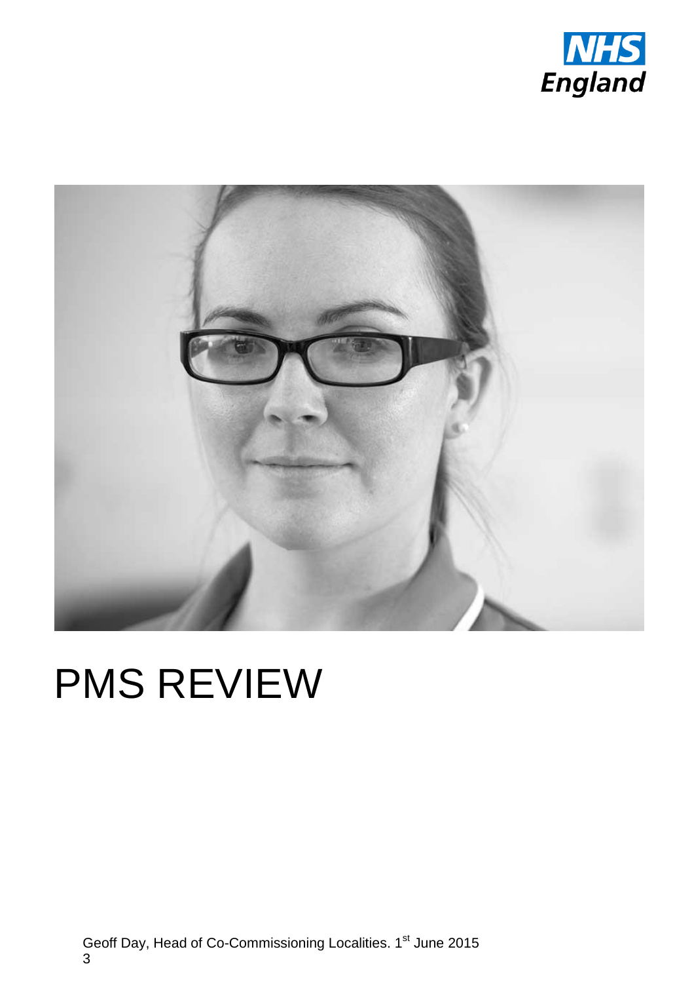



# PMS REVIEW

Geoff Day, Head of Co-Commissioning Localities. 1<sup>st</sup> June 2015 3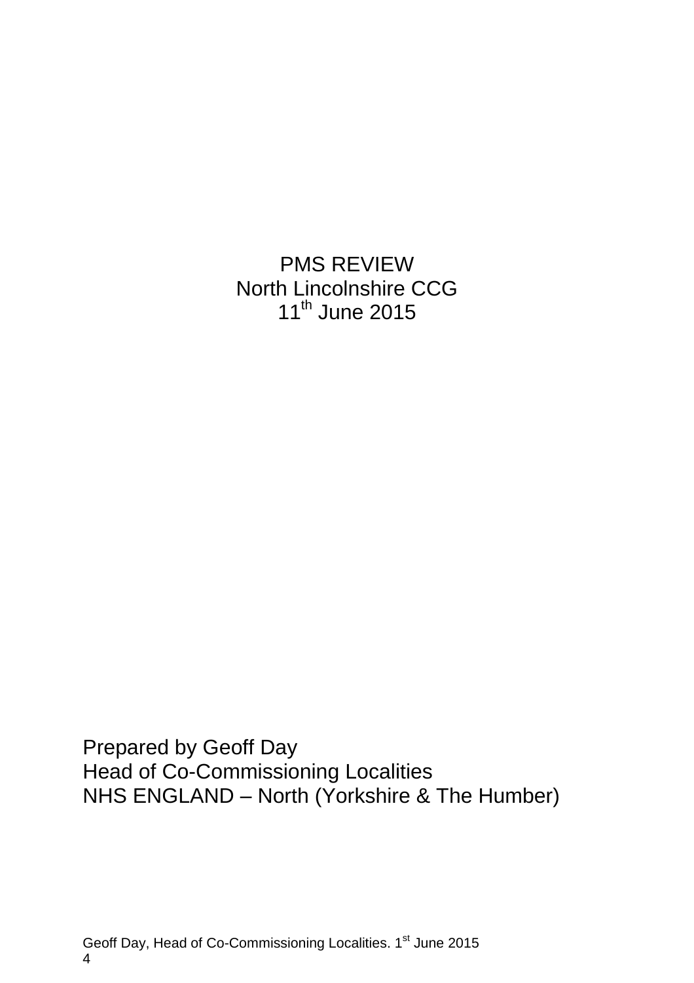PMS REVIEW North Lincolnshire CCG 11<sup>th</sup> June 2015

Prepared by Geoff Day Head of Co-Commissioning Localities NHS ENGLAND – North (Yorkshire & The Humber)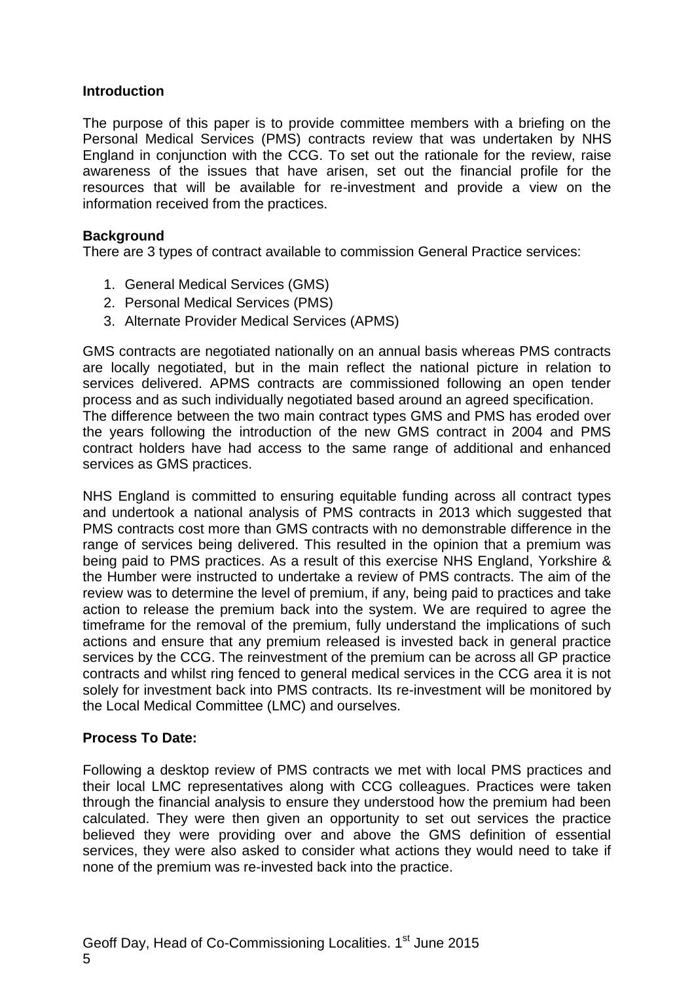#### **Introduction**

The purpose of this paper is to provide committee members with a briefing on the Personal Medical Services (PMS) contracts review that was undertaken by NHS England in conjunction with the CCG. To set out the rationale for the review, raise awareness of the issues that have arisen, set out the financial profile for the resources that will be available for re-investment and provide a view on the information received from the practices.

#### **Background**

There are 3 types of contract available to commission General Practice services:

- 1. General Medical Services (GMS)
- 2. Personal Medical Services (PMS)
- 3. Alternate Provider Medical Services (APMS)

GMS contracts are negotiated nationally on an annual basis whereas PMS contracts are locally negotiated, but in the main reflect the national picture in relation to services delivered. APMS contracts are commissioned following an open tender process and as such individually negotiated based around an agreed specification. The difference between the two main contract types GMS and PMS has eroded over the years following the introduction of the new GMS contract in 2004 and PMS contract holders have had access to the same range of additional and enhanced services as GMS practices.

NHS England is committed to ensuring equitable funding across all contract types and undertook a national analysis of PMS contracts in 2013 which suggested that PMS contracts cost more than GMS contracts with no demonstrable difference in the range of services being delivered. This resulted in the opinion that a premium was being paid to PMS practices. As a result of this exercise NHS England, Yorkshire & the Humber were instructed to undertake a review of PMS contracts. The aim of the review was to determine the level of premium, if any, being paid to practices and take action to release the premium back into the system. We are required to agree the timeframe for the removal of the premium, fully understand the implications of such actions and ensure that any premium released is invested back in general practice services by the CCG. The reinvestment of the premium can be across all GP practice contracts and whilst ring fenced to general medical services in the CCG area it is not solely for investment back into PMS contracts. Its re-investment will be monitored by the Local Medical Committee (LMC) and ourselves.

#### **Process To Date:**

Following a desktop review of PMS contracts we met with local PMS practices and their local LMC representatives along with CCG colleagues. Practices were taken through the financial analysis to ensure they understood how the premium had been calculated. They were then given an opportunity to set out services the practice believed they were providing over and above the GMS definition of essential services, they were also asked to consider what actions they would need to take if none of the premium was re-invested back into the practice.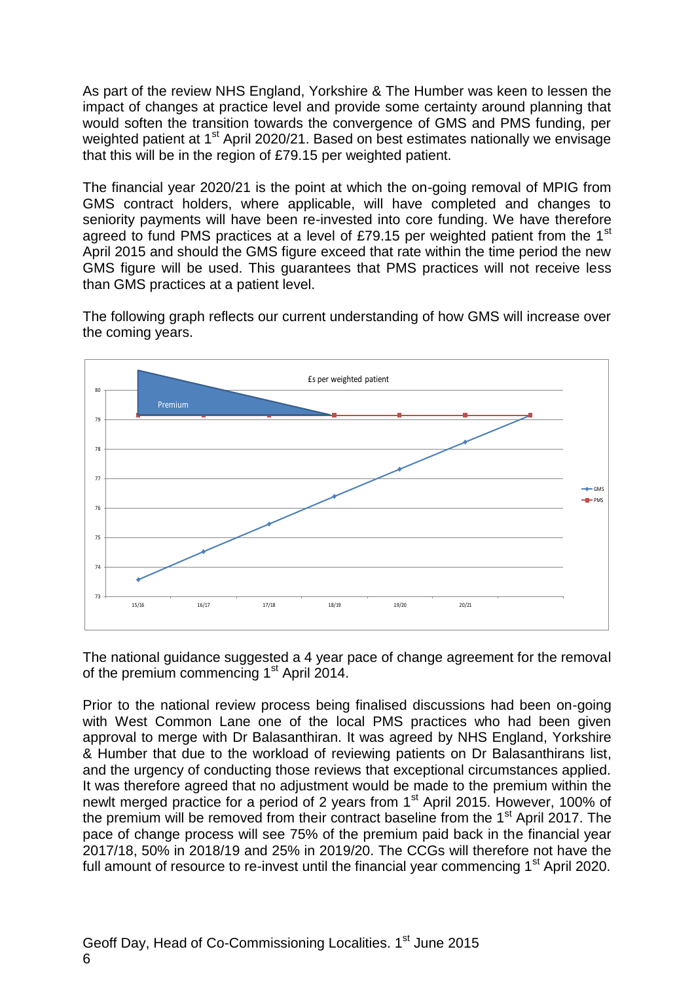As part of the review NHS England, Yorkshire & The Humber was keen to lessen the impact of changes at practice level and provide some certainty around planning that would soften the transition towards the convergence of GMS and PMS funding, per weighted patient at 1<sup>st</sup> April 2020/21. Based on best estimates nationally we envisage that this will be in the region of £79.15 per weighted patient.

The financial year 2020/21 is the point at which the on-going removal of MPIG from GMS contract holders, where applicable, will have completed and changes to seniority payments will have been re-invested into core funding. We have therefore agreed to fund PMS practices at a level of £79.15 per weighted patient from the  $1<sup>st</sup>$ April 2015 and should the GMS figure exceed that rate within the time period the new GMS figure will be used. This guarantees that PMS practices will not receive less than GMS practices at a patient level.

The following graph reflects our current understanding of how GMS will increase over the coming years.



The national guidance suggested a 4 year pace of change agreement for the removal of the premium commencing 1<sup>st</sup> April 2014.

Prior to the national review process being finalised discussions had been on-going with West Common Lane one of the local PMS practices who had been given approval to merge with Dr Balasanthiran. It was agreed by NHS England, Yorkshire & Humber that due to the workload of reviewing patients on Dr Balasanthirans list, and the urgency of conducting those reviews that exceptional circumstances applied. It was therefore agreed that no adjustment would be made to the premium within the newlt merged practice for a period of 2 years from  $1<sup>st</sup>$  April 2015. However, 100% of the premium will be removed from their contract baseline from the  $1<sup>st</sup>$  April 2017. The pace of change process will see 75% of the premium paid back in the financial year 2017/18, 50% in 2018/19 and 25% in 2019/20. The CCGs will therefore not have the full amount of resource to re-invest until the financial year commencing 1<sup>st</sup> April 2020.